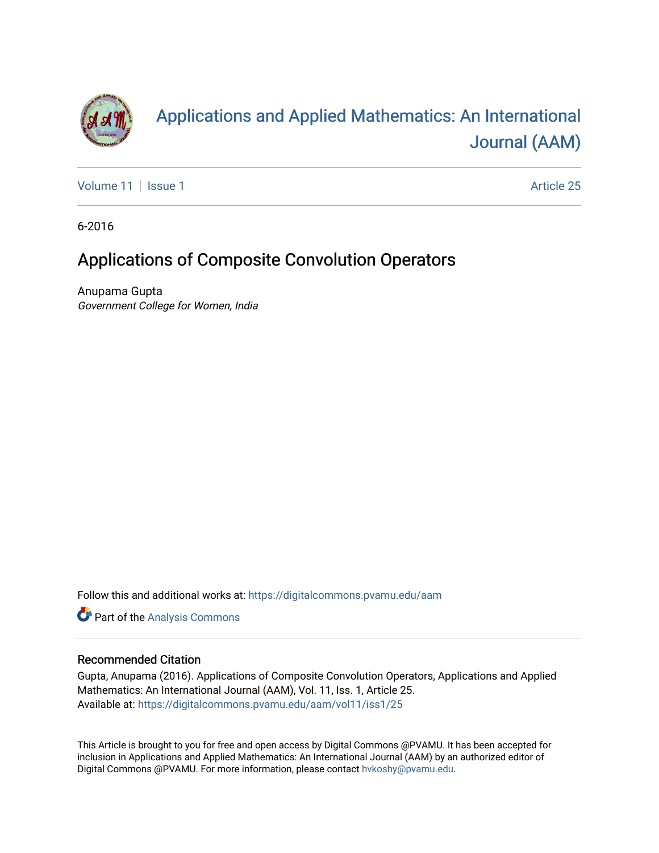

# [Applications and Applied Mathematics: An International](https://digitalcommons.pvamu.edu/aam)  [Journal \(AAM\)](https://digitalcommons.pvamu.edu/aam)

[Volume 11](https://digitalcommons.pvamu.edu/aam/vol11) | [Issue 1](https://digitalcommons.pvamu.edu/aam/vol11/iss1) Article 25

6-2016

## Applications of Composite Convolution Operators

Anupama Gupta Government College for Women, India

Follow this and additional works at: [https://digitalcommons.pvamu.edu/aam](https://digitalcommons.pvamu.edu/aam?utm_source=digitalcommons.pvamu.edu%2Faam%2Fvol11%2Fiss1%2F25&utm_medium=PDF&utm_campaign=PDFCoverPages) 

Part of the [Analysis Commons](http://network.bepress.com/hgg/discipline/177?utm_source=digitalcommons.pvamu.edu%2Faam%2Fvol11%2Fiss1%2F25&utm_medium=PDF&utm_campaign=PDFCoverPages)

#### Recommended Citation

Gupta, Anupama (2016). Applications of Composite Convolution Operators, Applications and Applied Mathematics: An International Journal (AAM), Vol. 11, Iss. 1, Article 25. Available at: [https://digitalcommons.pvamu.edu/aam/vol11/iss1/25](https://digitalcommons.pvamu.edu/aam/vol11/iss1/25?utm_source=digitalcommons.pvamu.edu%2Faam%2Fvol11%2Fiss1%2F25&utm_medium=PDF&utm_campaign=PDFCoverPages)

This Article is brought to you for free and open access by Digital Commons @PVAMU. It has been accepted for inclusion in Applications and Applied Mathematics: An International Journal (AAM) by an authorized editor of Digital Commons @PVAMU. For more information, please contact [hvkoshy@pvamu.edu.](mailto:hvkoshy@pvamu.edu)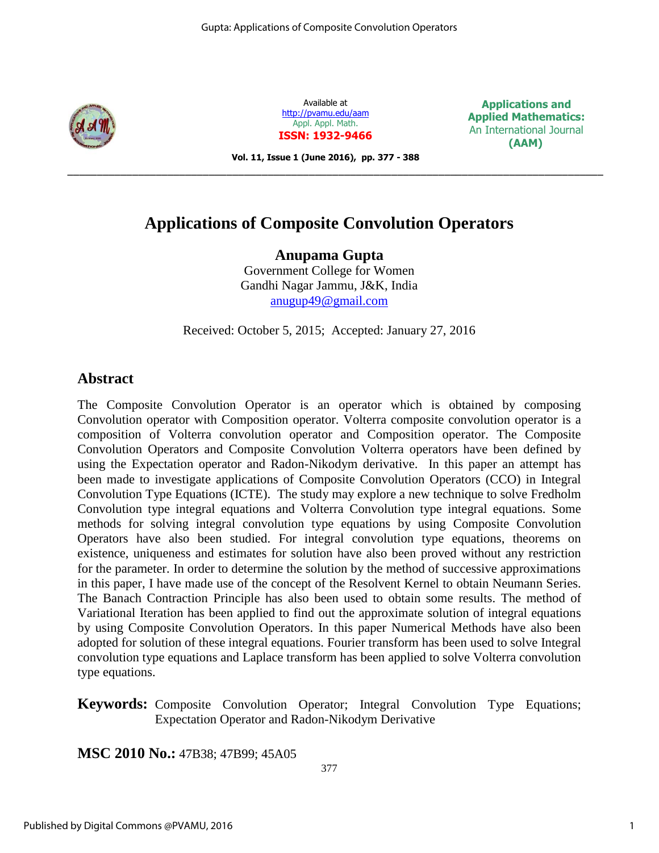

Available at <http://pvamu.edu/aam> Appl. Appl. Math. **ISSN: 1932-9466**

**Applications and Applied Mathematics:** An International Journal  **(AAM)**

**Vol. 11, Issue 1 (June 2016), pp. 377 - 388**

\_\_\_\_\_\_\_\_\_\_\_\_\_\_\_\_\_\_\_\_\_\_\_\_\_\_\_\_\_\_\_\_\_\_\_\_\_\_\_\_\_\_\_\_\_\_\_\_\_\_\_\_\_\_\_\_\_\_\_\_\_\_\_\_\_\_\_\_\_\_\_\_\_\_\_\_\_\_\_\_\_\_\_\_\_\_\_\_\_\_\_

## **Applications of Composite Convolution Operators**

**Anupama Gupta**  Government College for Women Gandhi Nagar Jammu, J&K, India [anugup49@gmail.com](mailto:anugup49@gmail.com)

Received: October 5, 2015; Accepted: January 27, 2016

## **Abstract**

The Composite Convolution Operator is an operator which is obtained by composing Convolution operator with Composition operator. Volterra composite convolution operator is a composition of Volterra convolution operator and Composition operator. The Composite Convolution Operators and Composite Convolution Volterra operators have been defined by using the Expectation operator and Radon-Nikodym derivative. In this paper an attempt has been made to investigate applications of Composite Convolution Operators (CCO) in Integral Convolution Type Equations (ICTE). The study may explore a new technique to solve Fredholm Convolution type integral equations and Volterra Convolution type integral equations. Some methods for solving integral convolution type equations by using Composite Convolution Operators have also been studied. For integral convolution type equations, theorems on existence, uniqueness and estimates for solution have also been proved without any restriction for the parameter. In order to determine the solution by the method of successive approximations in this paper, I have made use of the concept of the Resolvent Kernel to obtain Neumann Series. The Banach Contraction Principle has also been used to obtain some results. The method of Variational Iteration has been applied to find out the approximate solution of integral equations by using Composite Convolution Operators. In this paper Numerical Methods have also been adopted for solution of these integral equations. Fourier transform has been used to solve Integral convolution type equations and Laplace transform has been applied to solve Volterra convolution type equations.

**Keywords:** Composite Convolution Operator; Integral Convolution Type Equations; Expectation Operator and Radon-Nikodym Derivative

**MSC 2010 No.:** 47B38; 47B99; 45A05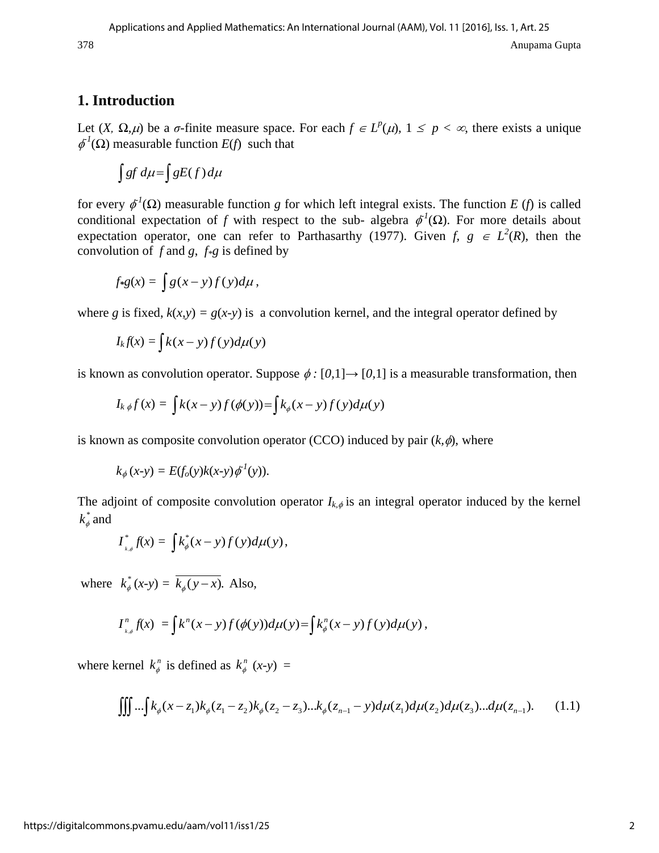## **1. Introduction**

Let  $(X, \Omega, \mu)$  be a *σ*-finite measure space. For each  $f \in L^p(\mu)$ ,  $1 \leq p < \infty$ , there exists a unique  $\phi^1(\Omega)$  measurable function *E*(*f*) such that

$$
\int gf\,d\mu = \int gE(f)\,d\mu
$$

for every  $\phi^1(\Omega)$  measurable function *g* for which left integral exists. The function *E* (*f*) is called conditional expectation of *f* with respect to the sub- algebra  $\phi^1(\Omega)$ . For more details about expectation operator, one can refer to Parthasarthy (1977). Given *f*,  $g \in L^2(R)$ , then the convolution of *f* and *g*, *f\*g* is defined by

$$
f*g(x) = \int g(x-y)f(y)d\mu,
$$

where *g* is fixed,  $k(x, y) = g(x-y)$  is a convolution kernel, and the integral operator defined by

$$
I_k f(x) = \int k(x - y) f(y) d\mu(y)
$$

is known as convolution operator. Suppose  $\phi$ : [0,1] $\rightarrow$  [0,1] is a measurable transformation, then  $I_k \phi f(x) = \int k(x - y) f(\phi(y)) = \int k_\phi(x - y) f(y) d\mu(y)$ 

$$
I_{k\,\phi}f(x) = \int k(x-y)f(\phi(y)) = \int k_{\phi}(x-y)f(y)d\mu(y)
$$

is known as composite convolution operator (CCO) induced by pair  $(k, \phi)$ , where

$$
k_{\phi}(x-y) = E(f_o(y)k(x-y)\phi^1(y)).
$$

The adjoint of composite convolution operator  $I_{k,\phi}$  is an integral operator induced by the kernel \*  $k_\phi^*$  and

$$
I_{\iota,\phi}^*f(x)=\int k_{\phi}^*(x-y)f(y)d\mu(y),
$$

where  $k_a^*$  $k^*_{\phi}(x-y) = k_{\phi}(y-x)$ . Also,

$$
I_{\iota,\phi}^n f(x) = \int k^n (x - y) f(\phi(y)) d\mu(y) = \int k_{\phi}^n (x - y) f(y) d\mu(y),
$$

where kernel  $k_{\phi}^{n}$  is defined as  $k_{\phi}^{n}$  (*x*-*y*) =

$$
\iiint \dots \int k_{\phi}(x - z_1)k_{\phi}(z_1 - z_2)k_{\phi}(z_2 - z_3) \dots k_{\phi}(z_{n-1} - y) d\mu(z_1) d\mu(z_2) d\mu(z_3) \dots d\mu(z_{n-1}). \tag{1.1}
$$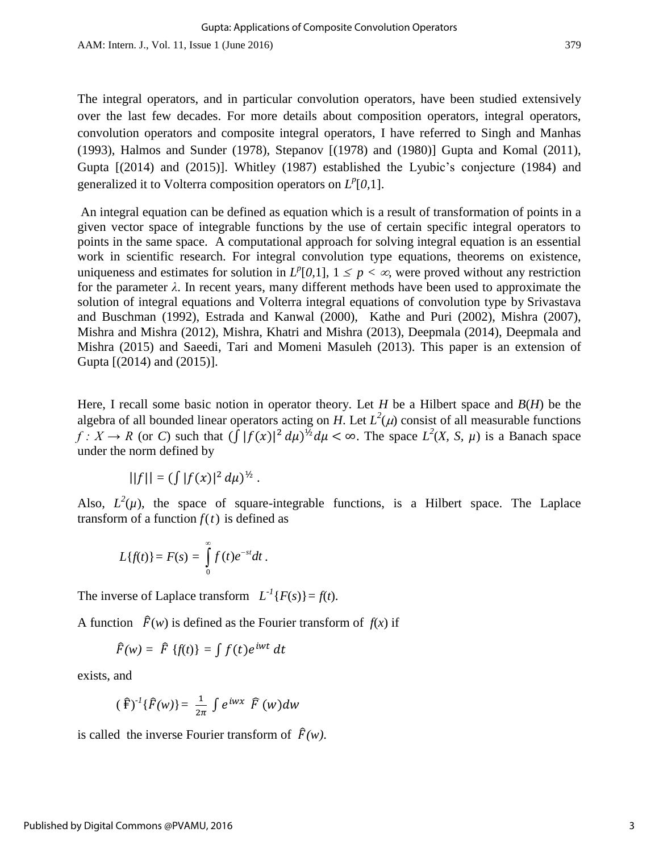The integral operators, and in particular convolution operators, have been studied extensively over the last few decades. For more details about composition operators, integral operators, convolution operators and composite integral operators, I have referred to Singh and Manhas (1993), Halmos and Sunder (1978), Stepanov [(1978) and (1980)] Gupta and Komal (2011), Gupta [(2014) and (2015)]. Whitley (1987) established the Lyubic's conjecture (1984) and generalized it to Volterra composition operators on  $L^p[0,1]$ .

An integral equation can be defined as equation which is a result of transformation of points in a given vector space of integrable functions by the use of certain specific integral operators to points in the same space. A computational approach for solving integral equation is an essential work in scientific research. For integral convolution type equations, theorems on existence, uniqueness and estimates for solution in  $L^p[0,1]$ ,  $1 \leq p \leq \infty$ , were proved without any restriction for the parameter *λ*. In recent years, many different methods have been used to approximate the solution of integral equations and Volterra integral equations of convolution type by Srivastava and Buschman (1992), Estrada and Kanwal (2000), Kathe and Puri (2002), Mishra (2007), Mishra and Mishra (2012), Mishra, Khatri and Mishra (2013), Deepmala (2014), Deepmala and Mishra (2015) and Saeedi, Tari and Momeni Masuleh (2013). This paper is an extension of Gupta [(2014) and (2015)].

Here, I recall some basic notion in operator theory. Let *H* be a Hilbert space and *B*(*H*) be the algebra of all bounded linear operators acting on *H*. Let  $L^2(\mu)$  consist of all measurable functions *f* :  $X \to R$  (or *C*) such that  $(\int |f(x)|^2 d\mu)^{1/2} d\mu < \infty$ . The space  $L^2(X, S, \mu)$  is a Banach space under the norm defined by

$$
||f|| = (\int |f(x)|^2 d\mu)^{\frac{1}{2}}.
$$

Also,  $L^2(\mu)$ , the space of square-integrable functions, is a Hilbert space. The Laplace transform of a function  $f(t)$  is defined as

$$
L{f(t)}=F(s)=\int\limits_{0}^{\infty}f(t)e^{-st}dt.
$$

The inverse of Laplace transform  $L^{-1}{F(s)} = f(t)$ .

A function  $\hat{F}(w)$  is defined as the Fourier transform of  $f(x)$  if

$$
\widehat{F}(w) = \widehat{F} \{f(t)\} = \int f(t) e^{iwt} dt
$$

exists, and

$$
(\hat{F})^{-1}\{\hat{F}(w)\} = \frac{1}{2\pi} \int e^{iwx} \hat{F}(w)dw
$$

is called the inverse Fourier transform of  $\hat{F}(w)$ .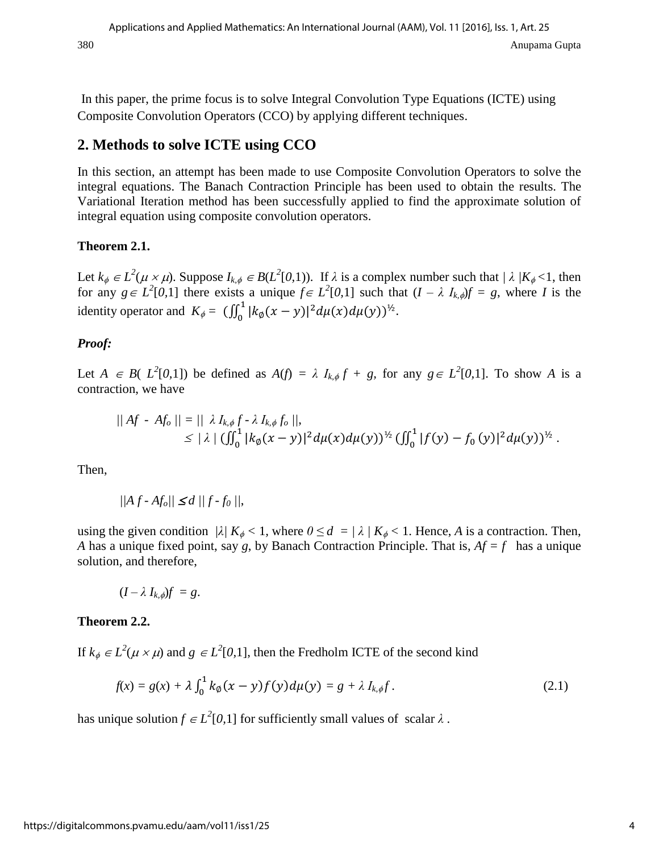In this paper, the prime focus is to solve Integral Convolution Type Equations (ICTE) using Composite Convolution Operators (CCO) by applying different techniques.

## **2. Methods to solve ICTE using CCO**

In this section, an attempt has been made to use Composite Convolution Operators to solve the integral equations. The Banach Contraction Principle has been used to obtain the results. The Variational Iteration method has been successfully applied to find the approximate solution of integral equation using composite convolution operators.

## **Theorem 2.1.**

Let  $k_{\phi} \in L^2(\mu \times \mu)$ . Suppose  $I_{k,\phi} \in B(L^2[0,1))$ . If  $\lambda$  is a complex number such that  $/\lambda / K_{\phi} < 1$ , then for any  $g \in L^2[0,1]$  there exists a unique  $f \in L^2[0,1]$  such that  $(I - \lambda I_{k,\phi})f = g$ , where *I* is the identity operator and  $K_{\phi} = (\iint_0^1 |k_{\phi}(x - y)|^2 d\mu(x) d\mu(y))^{1/2}$ .

## *Proof:*

Let  $A \in B(L^2[0,1])$  be defined as  $A(f) = \lambda I_{k,\phi} f + g$ , for any  $g \in L^2[0,1]$ . To show A is a contraction, we have

$$
|| Af - Af_0 || = || \lambda I_{k,\phi} f - \lambda I_{k,\phi} f_0 ||,
$$
  
\$\leq \lambda / (\iint\_0^1 |k\_{\phi}(x - y)|^2 d\mu(x) d\mu(y))^{1/2} (\iint\_0^1 |f(y) - f\_0(y)|^2 d\mu(y))^{1/2}\$.

Then,

$$
||Af - Af_o|| \le d ||f - f_0||,
$$

using the given condition  $|\lambda| K_{\phi} < 1$ , where  $0 \le d = |\lambda| K_{\phi} < 1$ . Hence, A is a contraction. Then, *A* has a unique fixed point, say *g*, by Banach Contraction Principle. That is, *Af = f* has a unique solution, and therefore,

$$
(I-\lambda I_{k,\phi})f = g.
$$

## **Theorem 2.2.**

If  $k_{\phi} \in L^2(\mu \times \mu)$  and  $g \in L^2[0,1]$ , then the Fredholm ICTE of the second kind

$$
f(x) = g(x) + \lambda \int_0^1 k_{\emptyset}(x - y) f(y) d\mu(y) = g + \lambda I_{k, \emptyset} f.
$$
 (2.1)

has unique solution  $f \in L^2[0,1]$  for sufficiently small values of scalar  $\lambda$ .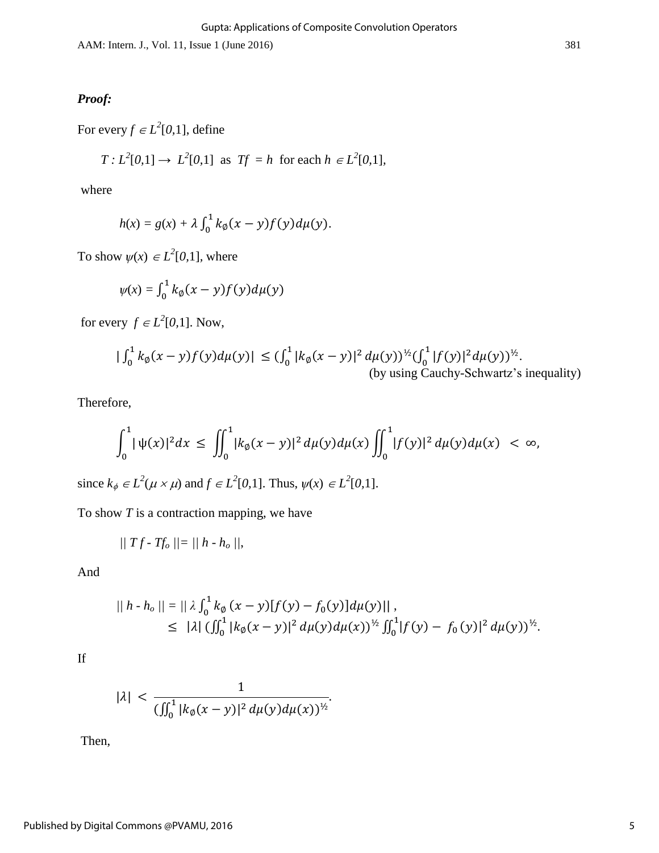AAM: Intern. J., Vol. 11, Issue 1 (June 2016) 381

### *Proof:*

For every  $f \in L^2[0,1]$ , define

$$
T: L2[0,1] \to L2[0,1] \text{ as } Tf = h \text{ for each } h \in L2[0,1],
$$

where

$$
h(x) = g(x) + \lambda \int_0^1 k_{\emptyset}(x - y) f(y) d\mu(y).
$$

To show  $\psi(x) \in L^2[0,1]$ , where

$$
\psi(x) = \int_0^1 k_\emptyset(x-y) f(y) d\mu(y)
$$

for every  $f \in L^2[0,1]$ . Now,

$$
\left| \int_0^1 k_\emptyset(x-y) f(y) d\mu(y) \right| \le \left( \int_0^1 |k_\emptyset(x-y)|^2 d\mu(y) \right)^{\frac{1}{2}} \left( \int_0^1 |f(y)|^2 d\mu(y) \right)^{\frac{1}{2}}.
$$
\n(by using Cauchy-Schwartz's inequality)

Therefore,

$$
\int_0^1 |\psi(x)|^2 dx \le \iint_0^1 |k_{\emptyset}(x-y)|^2 d\mu(y) d\mu(x) \iint_0^1 |f(y)|^2 d\mu(y) d\mu(x) < \infty,
$$

since  $k_{\phi} \in L^2(\mu \times \mu)$  and  $f \in L^2[0,1]$ . Thus,  $\psi(x) \in L^2[0,1]$ .

To show *T* is a contraction mapping, we have

$$
|||Tf - Tf_o|| = ||h - h_o||,
$$

And

$$
|| h \cdot h_o || = || \lambda \int_0^1 k_{\emptyset} (x - y) [f(y) - f_0(y)] d\mu(y) ||,
$$
  
\n
$$
\leq ||\lambda| \left( \iint_0^1 |k_{\emptyset} (x - y)|^2 d\mu(y) d\mu(x) \right)^{\frac{1}{2}} \int_0^1 |f(y) - f_0(y)|^2 d\mu(y)^{\frac{1}{2}}.
$$

If

$$
|\lambda| < \frac{1}{(\iint_0^1 |k_\emptyset(x-y)|^2 \, d\mu(y) \, d\mu(x))^{1/2}}.
$$

Then,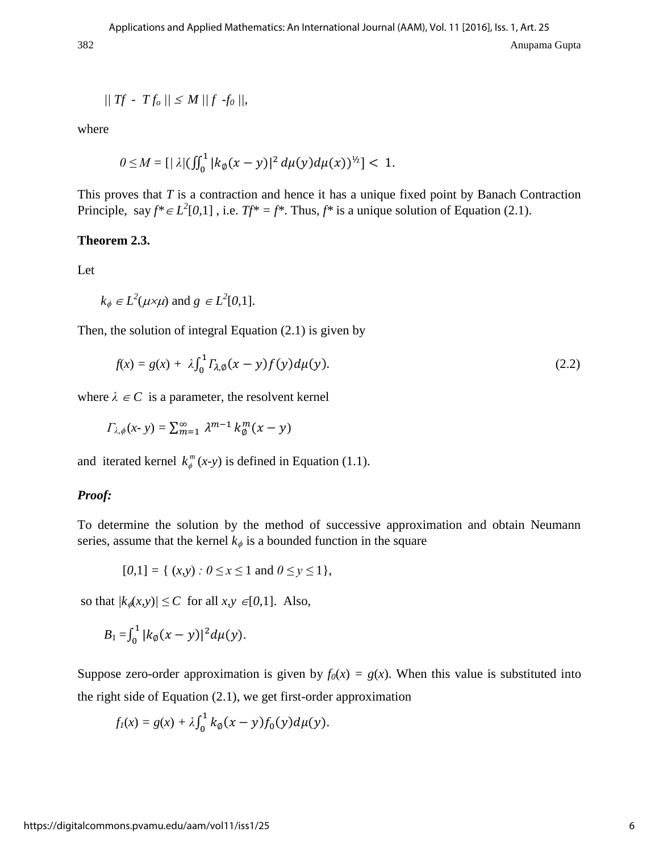$$
|| \textit{Tf} - \textit{Tf}_o || \leq M \, || \textit{f} - \textit{f}_0 ||,
$$

where

$$
0 \leq M = \left[\frac{1}{2} \left(\frac{1}{2}\right) \left(\frac{1}{2} |k_{\emptyset}(x-y)|^2 d\mu(y) d\mu(x)\right)^{1/2}\right] < 1.
$$

This proves that *T* is a contraction and hence it has a unique fixed point by Banach Contraction Principle, say  $f^* \in L^2[0,1]$ , i.e.  $Tf^* = f^*$ . Thus,  $f^*$  is a unique solution of Equation (2.1).

#### **Theorem 2.3.**

Let

$$
k_{\phi} \in L^2(\mu \times \mu)
$$
 and  $g \in L^2[0,1]$ .

Then, the solution of integral Equation (2.1) is given by

$$
f(x) = g(x) + \lambda \int_0^1 \Gamma_{\lambda,0}(x - y) f(y) d\mu(y). \tag{2.2}
$$

where  $\lambda \in \mathbb{C}$  is a parameter, the resolvent kernel

$$
\varGamma_{\lambda,\phi}(x\cdot y)=\textstyle\sum_{m=1}^\infty\,\lambda^{m-1}\,k_\emptyset^m(x-y)
$$

and iterated kernel  $k_{\phi}^{m}(x-y)$  is defined in Equation (1.1).

#### *Proof:*

To determine the solution by the method of successive approximation and obtain Neumann series, assume that the kernel  $k_{\phi}$  is a bounded function in the square

$$
[0,1] = \{ (x,y) : 0 \le x \le 1 \text{ and } 0 \le y \le 1 \},
$$

so that  $|k_{\phi}(x, y)| \leq C$  for all  $x, y \in [0, 1]$ . Also,

$$
B_1 = \int_0^1 |k_{\emptyset}(x - y)|^2 d\mu(y).
$$

Suppose zero-order approximation is given by  $f_0(x) = g(x)$ . When this value is substituted into the right side of Equation (2.1), we get first-order approximation

$$
f_1(x) = g(x) + \lambda \int_0^1 k_{\emptyset}(x - y) f_0(y) d\mu(y).
$$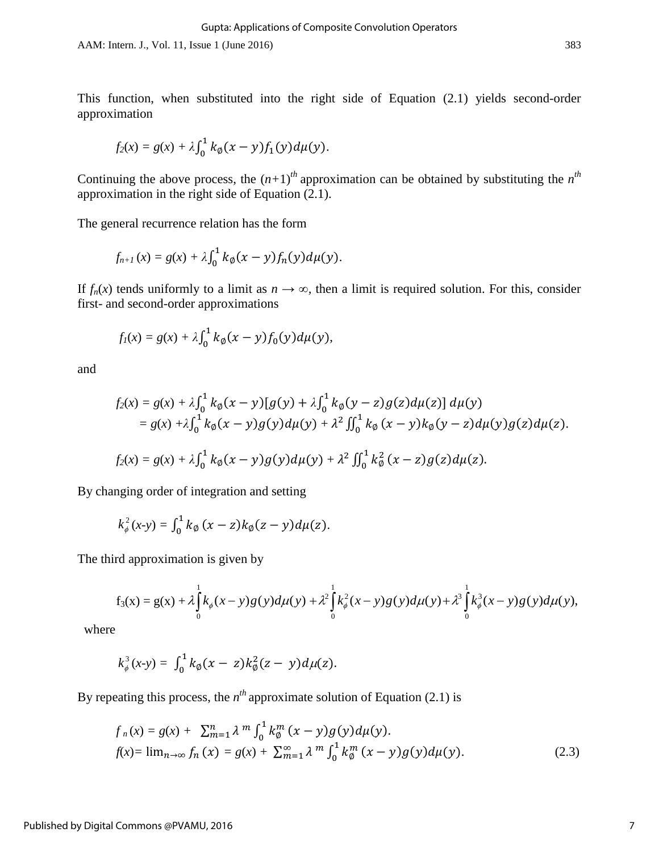AAM: Intern. J., Vol. 11, Issue 1 (June 2016) 383

This function, when substituted into the right side of Equation (2.1) yields second-order approximation

$$
f_2(x) = g(x) + \lambda \int_0^1 k_{\emptyset}(x - y) f_1(y) d\mu(y).
$$

Continuing the above process, the  $(n+1)$ <sup>th</sup> approximation can be obtained by substituting the  $n^{th}$ approximation in the right side of Equation (2.1).

The general recurrence relation has the form

$$
f_{n+1}(x) = g(x) + \lambda \int_0^1 k_{\emptyset}(x-y) f_n(y) d\mu(y).
$$

If  $f_n(x)$  tends uniformly to a limit as  $n \to \infty$ , then a limit is required solution. For this, consider first- and second-order approximations

$$
f_1(x) = g(x) + \lambda \int_0^1 k_{\emptyset}(x - y) f_0(y) d\mu(y),
$$

and

$$
f_2(x) = g(x) + \lambda \int_0^1 k_{\emptyset}(x - y) [g(y) + \lambda \int_0^1 k_{\emptyset}(y - z) g(z) d\mu(z)] d\mu(y)
$$
  
=  $g(x) + \lambda \int_0^1 k_{\emptyset}(x - y) g(y) d\mu(y) + \lambda^2 \int_0^1 k_{\emptyset}(x - y) k_{\emptyset}(y - z) d\mu(y) g(z) d\mu(z).$   

$$
f_2(x) = g(x) + \lambda \int_0^1 k_{\emptyset}(x - y) g(y) d\mu(y) + \lambda^2 \int_0^1 k_{\emptyset}^2 (x - z) g(z) d\mu(z).
$$

By changing order of integration and setting

$$
k_{\phi}^{2}(x-y)=\int_{0}^{1}k_{\phi}(x-z)k_{\phi}(z-y)d\mu(z).
$$

The third approximation is given by

$$
f_3(x) = g(x) + \lambda \int_0^1 k_{\phi}(x-y)g(y) d\mu(y) + \lambda^2 \int_0^1 k_{\phi}^2(x-y)g(y) d\mu(y) + \lambda^3 \int_0^1 k_{\phi}^3(x-y)g(y) d\mu(y),
$$

where

$$
k_{\phi}^{3}(x-y)=\int_{0}^{1}k_{\phi}(x-z)k_{\phi}^{2}(z-y)d\mu(z).
$$

By repeating this process, the  $n<sup>th</sup>$  approximate solution of Equation (2.1) is

$$
f_n(x) = g(x) + \sum_{m=1}^n \lambda^m \int_0^1 k_0^m (x - y) g(y) d\mu(y).
$$
  
\n
$$
f(x) = \lim_{n \to \infty} f_n(x) = g(x) + \sum_{m=1}^\infty \lambda^m \int_0^1 k_0^m (x - y) g(y) d\mu(y).
$$
\n(2.3)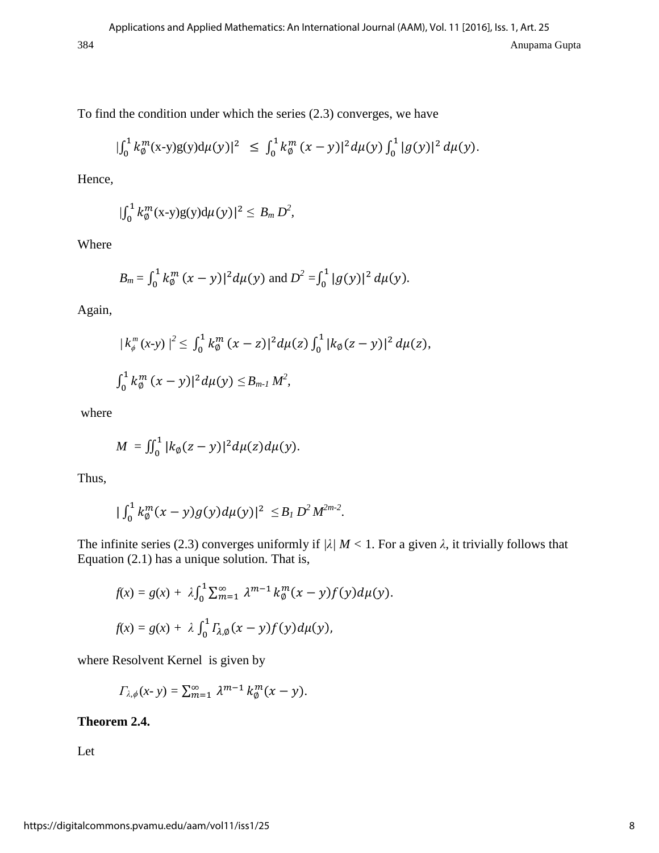To find the condition under which the series (2.3) converges, we have

$$
|\int_0^1 k_\emptyset^m(x-y)g(y)d\mu(y)|^2 \leq \int_0^1 k_\emptyset^m (x-y)|^2 d\mu(y) \int_0^1 |g(y)|^2 d\mu(y).
$$

Hence*,* 

$$
|\int_0^1 k_\emptyset^m(\mathbf{x}\text{-}\mathbf{y})\mathbf{g}(\mathbf{y})\mathrm{d}\mu(\mathbf{y})|^2 \leq B_m D^2,
$$

Where

$$
B_m = \int_0^1 k_\emptyset^m (x - y)^2 d\mu(y)
$$
 and 
$$
D^2 = \int_0^1 |g(y)|^2 d\mu(y).
$$

Again,

$$
|k_{\phi}^{m}(x-y)|^{2} \leq \int_{0}^{1} k_{\phi}^{m}(x-z)|^{2} d\mu(z) \int_{0}^{1} |k_{\phi}(z-y)|^{2} d\mu(z),
$$
  

$$
\int_{0}^{1} k_{\phi}^{m}(x-y)|^{2} d\mu(y) \leq B_{m-l} M^{2},
$$

where

$$
M=\iint_0^1 |k_{\emptyset}(z-y)|^2 d\mu(z)d\mu(y).
$$

Thus,

$$
|\int_0^1 k_\emptyset^m(x-y)g(y)d\mu(y)|^2 \leq B_I D^2 M^{2m-2}.
$$

The infinite series (2.3) converges uniformly if  $\lambda / M < 1$ . For a given  $\lambda$ , it trivially follows that Equation (2.1) has a unique solution. That is,

$$
f(x) = g(x) + \lambda \int_0^1 \sum_{m=1}^{\infty} \lambda^{m-1} k_{\emptyset}^m(x - y) f(y) d\mu(y).
$$
  

$$
f(x) = g(x) + \lambda \int_0^1 \Gamma_{\lambda, \emptyset}(x - y) f(y) d\mu(y),
$$

where Resolvent Kernel is given by

$$
\Gamma_{\lambda,\phi}(x\cdot y) = \sum_{m=1}^{\infty} \lambda^{m-1} k_{\emptyset}^m(x-y).
$$

#### **Theorem 2.4.**

Let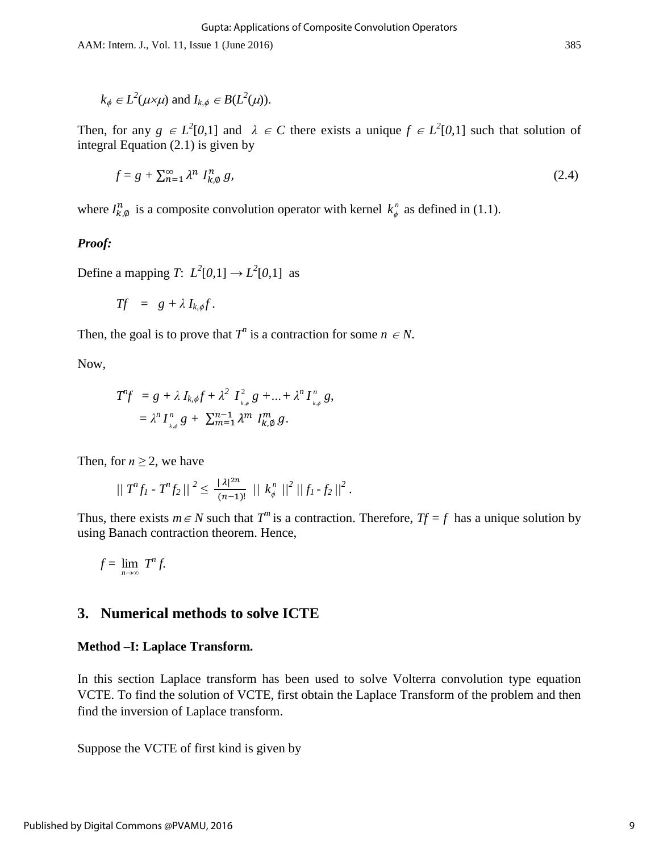AAM: Intern. J., Vol. 11, Issue 1 (June 2016) 385

$$
k_{\phi} \in L^2(\mu \times \mu)
$$
 and  $I_{k,\phi} \in B(L^2(\mu))$ .

Then, for any  $g \in L^2[0,1]$  and  $\lambda \in C$  there exists a unique  $f \in L^2[0,1]$  such that solution of integral Equation (2.1) is given by

$$
f = g + \sum_{n=1}^{\infty} \lambda^n I_{k,0}^n g,
$$
 (2.4)

where  $I_{k,\emptyset}^n$  is a composite convolution operator with kernel  $k_{\phi}^n$  as defined in (1.1).

#### *Proof:*

Define a mapping *T*:  $L^2[0,1] \rightarrow L^2[0,1]$  as

$$
Tf = g + \lambda I_{k,\phi}f.
$$

Then, the goal is to prove that  $T^n$  is a contraction for some  $n \in N$ .

Now,

$$
T^n f = g + \lambda I_{k,\phi} f + \lambda^2 I_{k,\phi}^2 g + ... + \lambda^n I_{k,\phi}^n g,
$$
  
=  $\lambda^n I_{k,\phi}^n g + \sum_{m=1}^{n-1} \lambda^m I_{k,\phi}^m g.$ 

Then, for  $n \geq 2$ , we have

$$
|| T^n f_1 - T^n f_2 ||^2 \leq \frac{|\lambda|^{2n}}{(n-1)!} || k_{\phi}^n ||^2 || f_1 - f_2 ||^2.
$$

Thus, there exists  $m \in N$  such that  $T^m$  is a contraction. Therefore,  $Tf = f$  has a unique solution by using Banach contraction theorem. Hence,

$$
f=\lim_{n\to\infty}T^n f.
$$

### **3. Numerical methods to solve ICTE**

#### **Method –I: Laplace Transform.**

In this section Laplace transform has been used to solve Volterra convolution type equation VCTE. To find the solution of VCTE, first obtain the Laplace Transform of the problem and then find the inversion of Laplace transform.

Suppose the VCTE of first kind is given by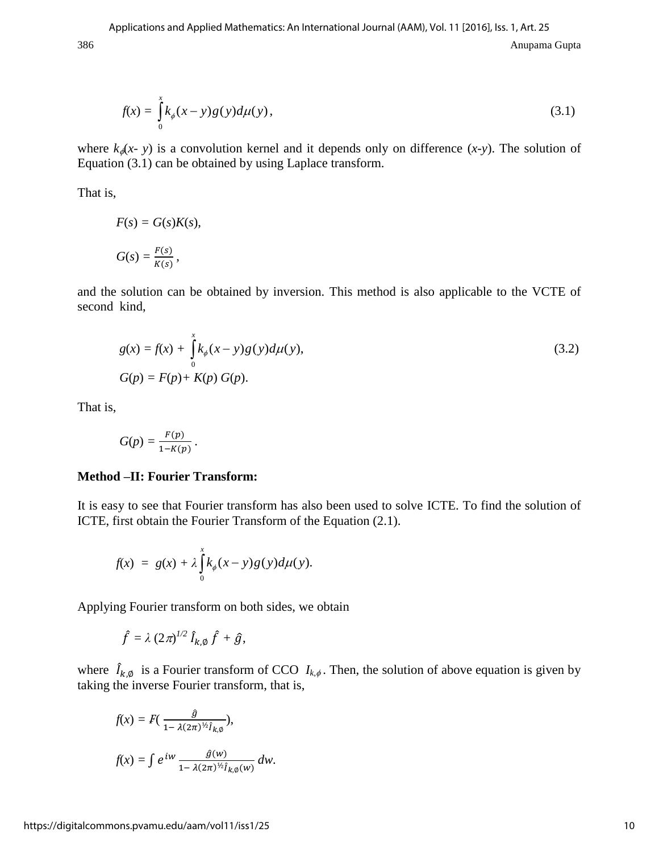$$
f(x) = \int_{0}^{x} k_{\phi}(x - y)g(y)d\mu(y),
$$
\n(3.1)

where  $k_{\phi}(x - y)$  is a convolution kernel and it depends only on difference  $(x-y)$ . The solution of Equation (3.1) can be obtained by using Laplace transform.

That is,

$$
F(s) = G(s)K(s),
$$
  

$$
G(s) = \frac{F(s)}{K(s)},
$$

and the solution can be obtained by inversion. This method is also applicable to the VCTE of second kind,

$$
g(x) = f(x) + \int_{0}^{x} k_{\phi}(x - y)g(y)d\mu(y),
$$
  
\n
$$
G(p) = F(p) + K(p) G(p).
$$
\n(3.2)

That is,

$$
G(p) = \frac{F(p)}{1-K(p)}.
$$

#### **Method –II: Fourier Transform:**

It is easy to see that Fourier transform has also been used to solve ICTE. To find the solution of ICTE, first obtain the Fourier Transform of the Equation (2.1).

$$
f(x) = g(x) + \lambda \int_0^x k_{\phi}(x-y)g(y)d\mu(y).
$$

Applying Fourier transform on both sides, we obtain

$$
\hat{f} = \lambda (2\pi)^{1/2} \hat{I}_{k,\emptyset} \hat{f} + \hat{g},
$$

where  $\hat{I}_{k,\phi}$  is a Fourier transform of CCO  $I_{k,\phi}$ . Then, the solution of above equation is given by taking the inverse Fourier transform, that is,

$$
f(x) = F\left(\frac{\hat{g}}{1 - \lambda(2\pi)^{1/2} \hat{I}_{k,\emptyset}}\right),
$$
  

$$
f(x) = \int e^{iw} \frac{\hat{g}(w)}{1 - \lambda(2\pi)^{1/2} \hat{I}_{k,\emptyset}(w)} dw.
$$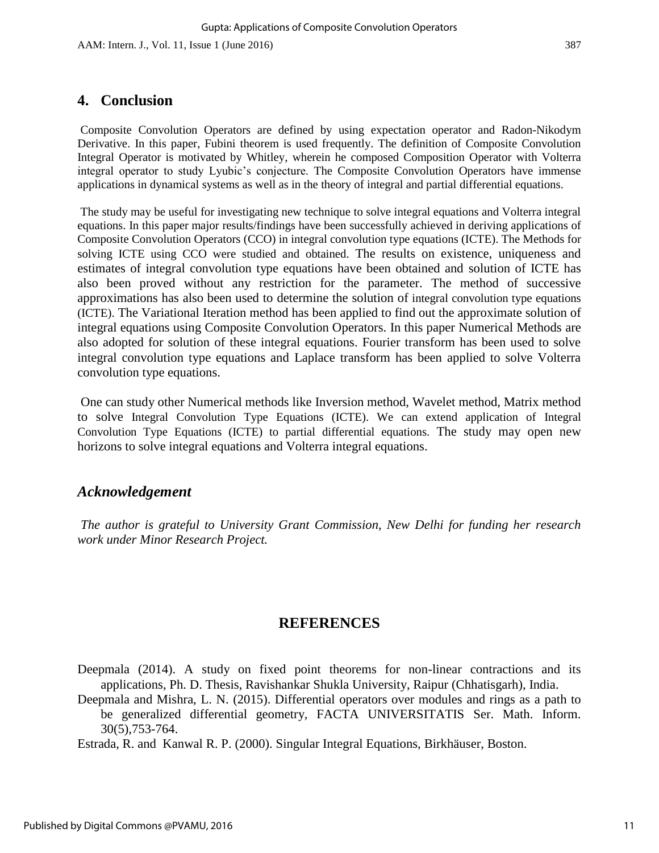## **4. Conclusion**

Composite Convolution Operators are defined by using expectation operator and Radon-Nikodym Derivative. In this paper, Fubini theorem is used frequently. The definition of Composite Convolution Integral Operator is motivated by Whitley, wherein he composed Composition Operator with Volterra integral operator to study Lyubic's conjecture. The Composite Convolution Operators have immense applications in dynamical systems as well as in the theory of integral and partial differential equations.

The study may be useful for investigating new technique to solve integral equations and Volterra integral equations. In this paper major results/findings have been successfully achieved in deriving applications of Composite Convolution Operators (CCO) in integral convolution type equations (ICTE). The Methods for solving ICTE using CCO were studied and obtained. The results on existence, uniqueness and estimates of integral convolution type equations have been obtained and solution of ICTE has also been proved without any restriction for the parameter. The method of successive approximations has also been used to determine the solution of integral convolution type equations (ICTE). The Variational Iteration method has been applied to find out the approximate solution of integral equations using Composite Convolution Operators. In this paper Numerical Methods are also adopted for solution of these integral equations. Fourier transform has been used to solve integral convolution type equations and Laplace transform has been applied to solve Volterra convolution type equations.

One can study other Numerical methods like Inversion method, Wavelet method, Matrix method to solve Integral Convolution Type Equations (ICTE). We can extend application of Integral Convolution Type Equations (ICTE) to partial differential equations. The study may open new horizons to solve integral equations and Volterra integral equations.

## *Acknowledgement*

*The author is grateful to University Grant Commission, New Delhi for funding her research work under Minor Research Project.* 

## **REFERENCES**

Deepmala (2014). A study on fixed point theorems for non-linear contractions and its applications, Ph. D. Thesis, Ravishankar Shukla University, Raipur (Chhatisgarh), India.

Deepmala and Mishra, L. N. (2015). Differential operators over modules and rings as a path to be generalized differential geometry, FACTA UNIVERSITATIS Ser. Math. Inform. 30(5),753-764.

Estrada, R. and Kanwal R. P. (2000). Singular Integral Equations, Birkhäuser, Boston.